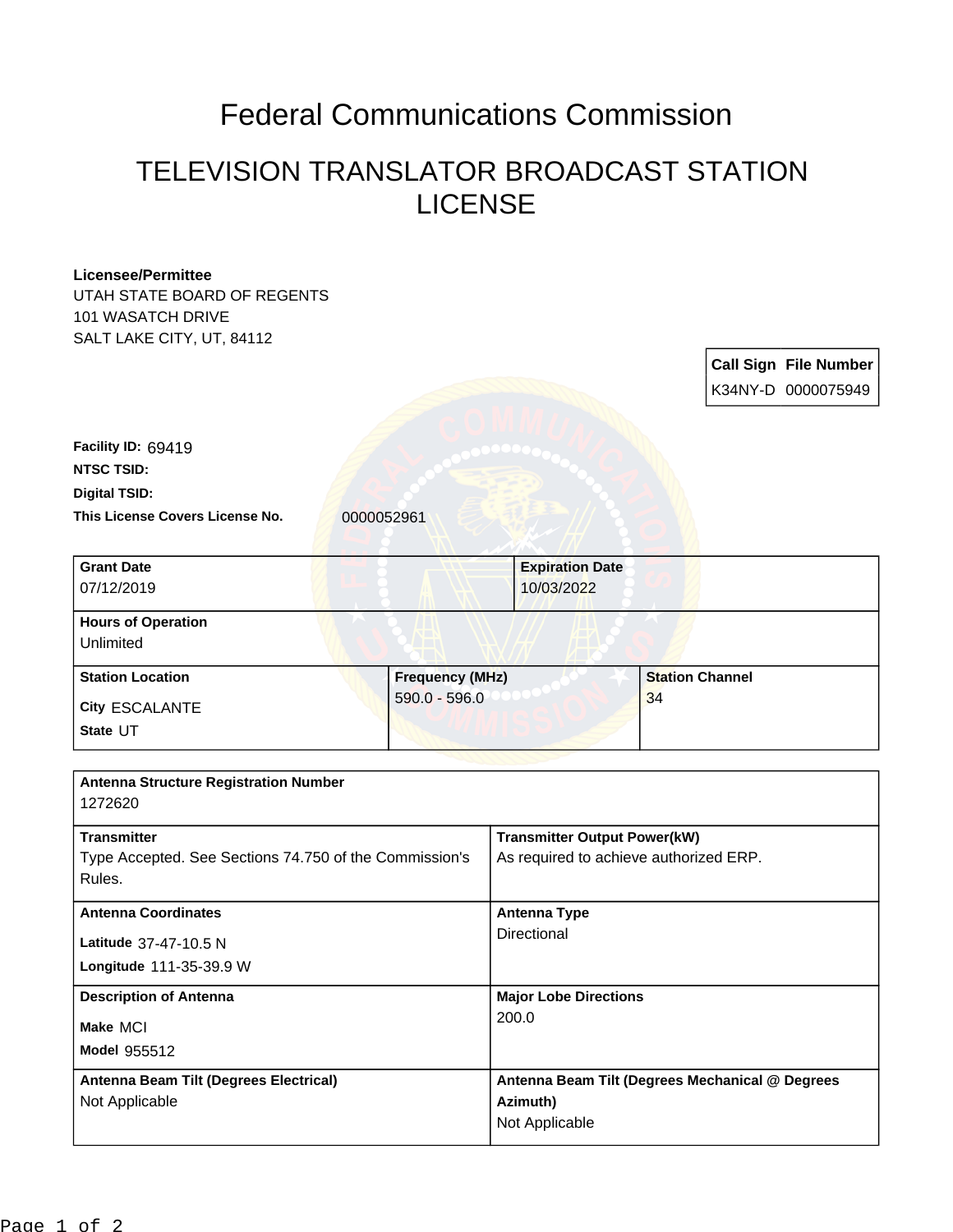## Federal Communications Commission

## TELEVISION TRANSLATOR BROADCAST STATION LICENSE

| <b>Licensee/Permittee</b><br>UTAH STATE BOARD OF REGENTS |                                           |                                                             |                        |  |                              |
|----------------------------------------------------------|-------------------------------------------|-------------------------------------------------------------|------------------------|--|------------------------------|
| 101 WASATCH DRIVE                                        |                                           |                                                             |                        |  |                              |
| SALT LAKE CITY, UT, 84112                                |                                           |                                                             |                        |  |                              |
|                                                          |                                           |                                                             |                        |  | <b>Call Sign File Number</b> |
|                                                          |                                           |                                                             |                        |  | K34NY-D 0000075949           |
|                                                          |                                           |                                                             |                        |  |                              |
| Facility ID: 69419                                       |                                           |                                                             |                        |  |                              |
| <b>NTSC TSID:</b>                                        |                                           |                                                             |                        |  |                              |
| <b>Digital TSID:</b>                                     |                                           |                                                             |                        |  |                              |
| This License Covers License No.                          | 0000052961                                |                                                             |                        |  |                              |
|                                                          |                                           |                                                             |                        |  |                              |
| <b>Grant Date</b>                                        |                                           | <b>Expiration Date</b>                                      |                        |  |                              |
| 07/12/2019                                               |                                           | 10/03/2022                                                  |                        |  |                              |
| <b>Hours of Operation</b>                                |                                           |                                                             |                        |  |                              |
| Unlimited                                                |                                           |                                                             |                        |  |                              |
| <b>Station Location</b>                                  | <b>Frequency (MHz)</b><br>$590.0 - 596.0$ |                                                             | <b>Station Channel</b> |  |                              |
| City ESCALANTE                                           |                                           |                                                             | 34                     |  |                              |
| State UT                                                 |                                           |                                                             |                        |  |                              |
|                                                          |                                           |                                                             |                        |  |                              |
| <b>Antenna Structure Registration Number</b>             |                                           |                                                             |                        |  |                              |
| 1272620                                                  |                                           |                                                             |                        |  |                              |
| <b>Transmitter</b>                                       |                                           | <b>Transmitter Output Power(kW)</b>                         |                        |  |                              |
| Type Accepted. See Sections 74.750 of the Commission's   |                                           | As required to achieve authorized ERP.                      |                        |  |                              |
| Rules.                                                   |                                           |                                                             |                        |  |                              |
| <b>Antenna Coordinates</b>                               |                                           | <b>Antenna Type</b>                                         |                        |  |                              |
| Latitude 37-47-10.5 N                                    |                                           | Directional                                                 |                        |  |                              |
| Longitude 111-35-39.9 W                                  |                                           |                                                             |                        |  |                              |
| <b>Description of Antenna</b>                            |                                           | <b>Major Lobe Directions</b>                                |                        |  |                              |
| Make MCI                                                 |                                           | 200.0                                                       |                        |  |                              |
| Model 955512                                             |                                           |                                                             |                        |  |                              |
| Antenna Beam Tilt (Degrees Electrical)                   |                                           |                                                             |                        |  |                              |
| Not Applicable                                           |                                           | Antenna Beam Tilt (Degrees Mechanical @ Degrees<br>Azimuth) |                        |  |                              |
|                                                          |                                           | Not Applicable                                              |                        |  |                              |
|                                                          |                                           |                                                             |                        |  |                              |